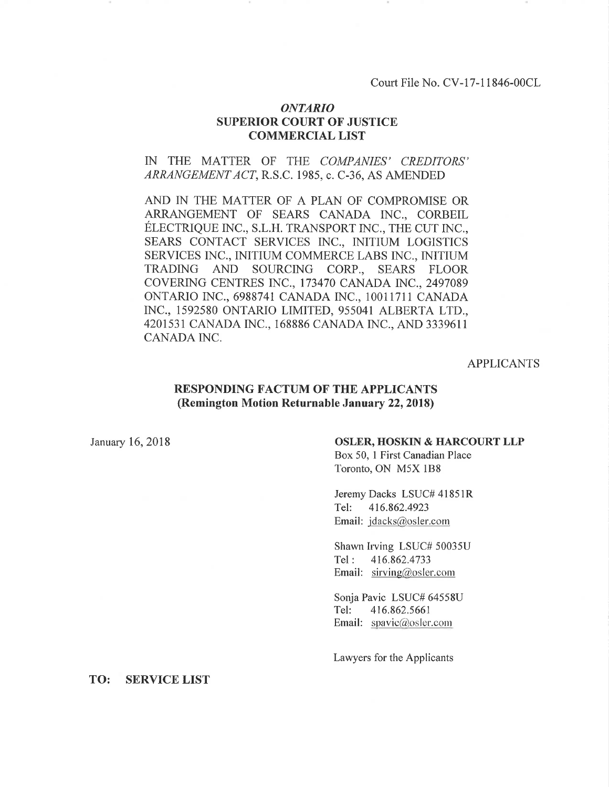Court File No. CV-l7-11846-00CL

## ONTARIO SUPERIOR COURT OF JUSTICE COMMERCIAL LIST

## IN THE MATTER OF THE COMPANIES' CREDITORS' ARRANGEMENT ACT, R.S.C. 1985, c. C-36, AS AMENDED

AND IN THE MATTER OF A PLAN OF COMPROMISE OR ARRANGEMENT OF SEARS CANADA INC., CORBEIL ÉLECTRIQUE INC., S.L.H. TRANSPORT INC., THE CUT INC., SEARS CONTACT SERVICES INC., INITIUM LOGISTICS SERVICES INC., INITIUM COMMERCE LABS [NC., INITIUM TRADING AND SOURCING CORP., SEARS FLOOR COVERING CENTRES INC., 173470 CANADA fNC., 2497089 ONTARIO INC., 6988741 CANADA INC., 10011711 CANADA [NC., 1592580 ONTARIO LIMITED, 955041 ALBERTA LTD., 4201531 CANADA INC., 168886 CANADA INC., AND 3339611 CANADA INC.

## APPLICANTS

## RESPONDING FACTUM OF THE APPLICANTS (Remington Motion Returnable January 22, 2018)

#### January 16, 2018 **OSLER, HOSKIN & HARCOURT LLP**

Box 50, 1 First Canadian Place Toronto, ON M5X 188

Jeremy Dacks LSUC# 4185IR Tel: 416.862.4923 Email: jdacks@osler.com

Shawn h'ving LSUC# 50035U Tel: 416.862.4733 Email:  $sirving@osler.com$ 

Sonja Pavic LSUC# 64558U Tel: 416.862.5661 Email: spavic@osler.com

Lawyers for the Applicants

TO: SERVICE LIST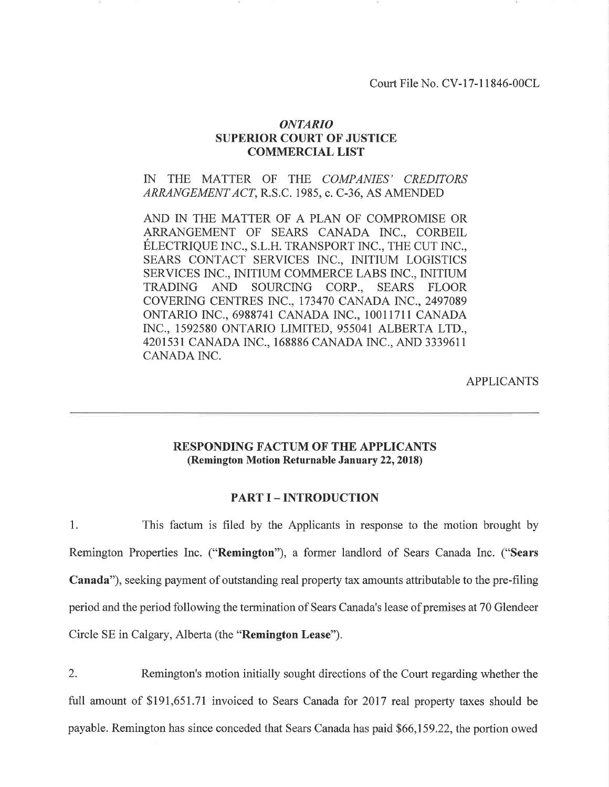Court File No. CV-17-11846-00CL

## ONTARIO SUPERIOR COURT OF JUSTICE COMMERCIAL LIST

IN THE MATTER OF THE COMPANIES' CREDITORS ARRANGEMENT ACT, R.S.C. 1985, c. C-36, AS AMENDED

AND IN THE MATTER OF A PLAN OF COMPROMISE OR ARRANGEMENT OF SEARS CANADA INC., CORBEIL ÉLECTRIQUE INC., S.L.H. TRANSPORT INC., THE CUT INC., SEARS CONTACT SERVICES INC., INITIUM LOGISTICS SERVICES INC., INITIUM COMMERCE LABS [NC., INITIUM TRADING AND SOURCING CORP., SEARS FLOOR COVERING CENTRES INC., 173470 CANADA INC., 2497089 ONTARIO fNC., 6988741 CANADA [NC., 1001I711 CANADA fNC., 1592580 ONTARIO LIMITED, 955041 ALBERTA LTD., 4201531 CANADA INC., 168886 CANADA INC., AND 3339611 CANADA INC.

APPLICANTS

# RESPONDING FACTUM OF THE APPLICANTS (Remington Motion Returnable January 22,2018)

#### PART I - INTRODUCTION

l. This factum is filed by the Applicants in response to the motion brought by Remington Properties Inc. ("Remington"), a former landlord of Sears Canada Inc. ("Sears Canada"), seeking payment of outstanding real property tax amounts attributable to the pre-filing period and the period following the termination of Sears Canada's lease of premises at 70 Glendeer Circle SE in Calgary, Alberta (the "Remington Lease").

2. Remington's motion initially sought directions of the Court regarding whether the full amount of \$191,651.71 invoiced to Sears Canada for 2017 real property taxes should be payable. Remington has since conceded that Sears Canada has paid \$66,159.22, the portion owed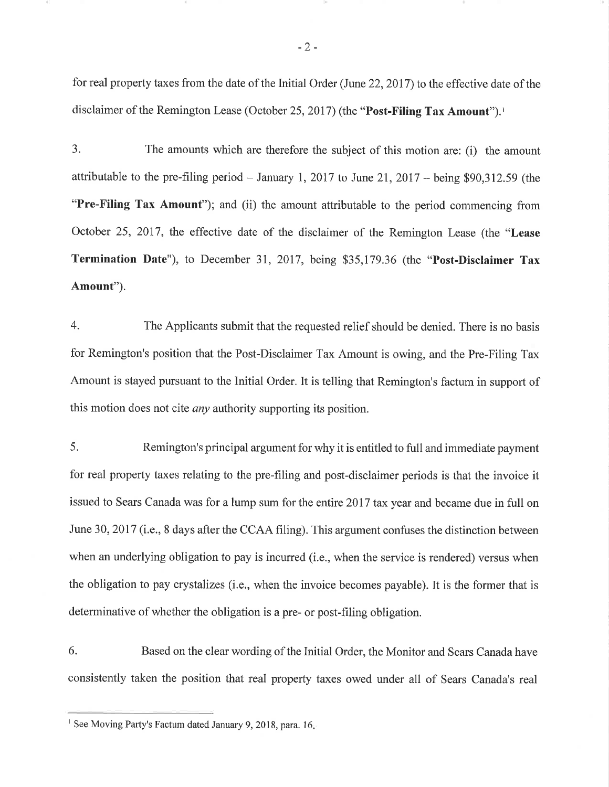for real property taxes from the date of the Initial Order (June 22,2017) to the effective date of the disclaimer of the Remington Lease (October 25, 2017) (the "Post-Filing Tax Amount").<sup>1</sup>

3. The amounts which are therefore the subject of this motion are: (i) the amount attributable to the pre-filing period  $-$  January 1, 2017 to June 21, 2017  $-$  being \$90,312.59 (the "Pre-Filing Tax Amount"); and (ii) the amount attributable to the period commencing from October 25,2017, the effective date of the disclaimer of the Remington Lease (the "Lease Termination Date"), to December 31,2017, being \$35,179.36 (the "Post-Disclaimer Tax Amount").

4. The Applicants submit that the requested relief should be denied. There is no basis for Remington's position that the Post-Disclaimer Tax Amount is owing, and the Pre-Filing Tax Amount is stayed pursuant to the Initial Order. It is telling that Remington's factum in support of this motion does not cite *any* authority supporting its position.

5. Remington's principal argument for why it is entitled to full and immediate payment for real property taxes relating to the pre-filing and post-disclaimer periods is that the invoice it issued to Sears Canada was for a lump sum for the entire 2017 tax year and became due in full on June 30, 2017 (i.e., 8 days after the CCAA filing). This argument confuses the distinction between when an underlying obligation to pay is incurred (i.e., when the service is rendered) versus when the obligation to pay crystalizes (i.e., when the invoice becomes payable). It is the former that is determinative of whether the obligation is a pre- or post-filing obligation.

6. Based on the clear wording of the Initial Order, the Monitor and Sears Canada have consistently taken the position that real property taxes owed under all of Sears Canada's real

<sup>&</sup>lt;sup>1</sup> See Moving Party's Factum dated January 9, 2018, para. 16.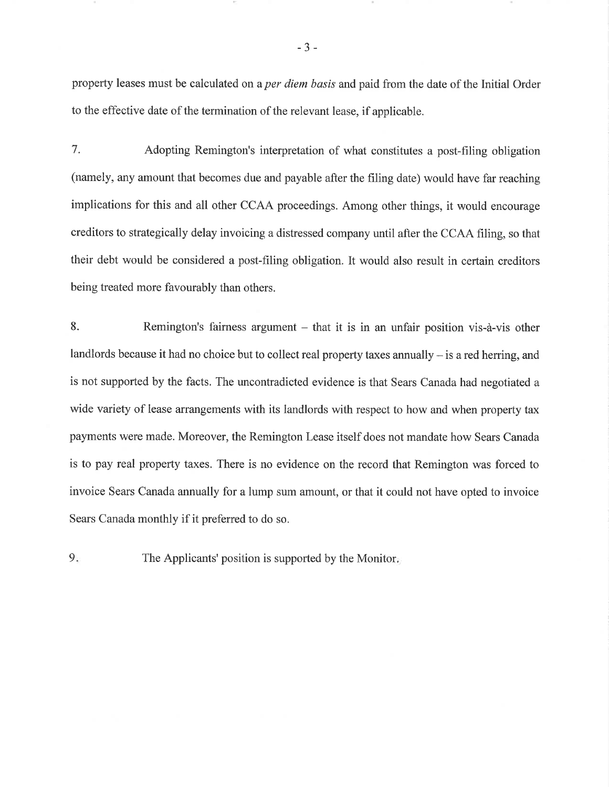property leases must be calculated on a *per diem basis* and paid from the date of the Initial Order to the effective date of the termination of the relevant lease, if applicable.

7. Adopting Remington's interpretation of what constitutes a post-filing obligation (namely, any amount that becomes due and payable after the filing date) would have far reaching implications for this and all other CCAA proceedings. Among other things, it would encourage creditors to strategically delay invoicing a distressed company until after the CCAA filing. so that their debt would be considered a post-filing obligation. It would also result in certain creditors being treated more favourably than others.

8. Remington's fairness argument - that it is in an unfair position vis-à-vis other landlords because it had no choice but to collect real property taxes annually - is a red herring, and is not supported by the facts. The uncontradicted evidence is that Sears Canada had negotiated a wide variety of lease arrangements with its landlords with respect to how and when property tax payments were made. Moreover, the Remington Lease itself does not mandate how Sears Canada is to pay real property taxes. There is no evidence on the record that Remington was forced to invoice Sears Canada annually for a lump sum amount, or that it could not have opted to invoice Sears Canada monthly if it preferred to do so.

9. The Applicants' position is supported by the Monitor.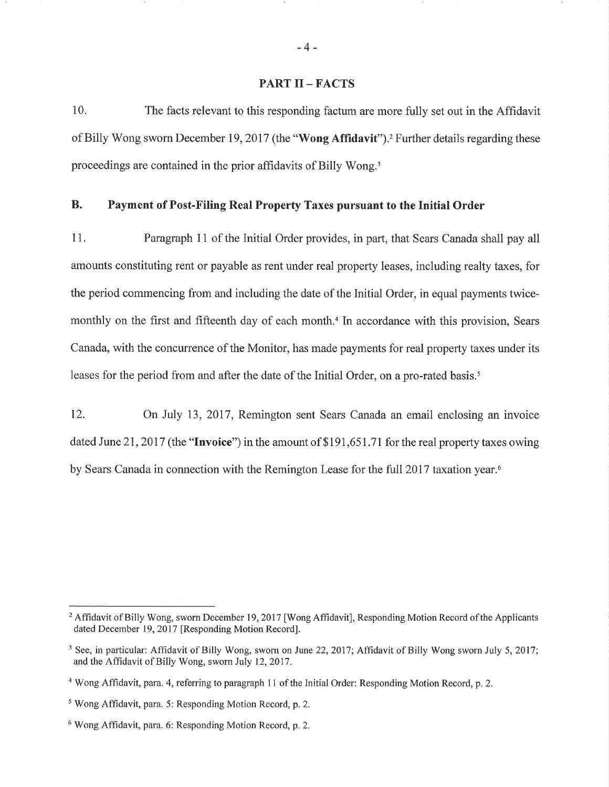## PART II - FACTS

10. The facts relevant to this responding factum are more fully set out in the Affidavit of Billy Wong sworn December 19, 2017 (the "Wong Affidavit").<sup>2</sup> Further details regarding these proceedings are contained in the prior affidavits of Billy Wong.<sup>3</sup>

# B. Payment of Post-Filing Real Property Taxes pursuant to the Initial Order

11. Paragraph 11 of the Initial Order provides, in part, that Sears Canada shall pay all amounts constituting rent or payable as rent under real property leases, including realty taxes, for the period commencing from and including the date of the Initial Order, in equal payments twicemonthly on the first and fifteenth day of each month.<sup>4</sup> In accordance with this provision, Sears Canada, with the concurrence of the Monitor, has made payments for real property taxes under its leases for the period from and after the date of the Initial Order, on a pro-rated basis.<sup>5</sup>

12. On July 13,2017, Remington sent Sears Canada an email enclosing an invoice dated June 21, 2017 (the "Invoice") in the amount of \$191,651.71 for the real property taxes owing by Sears Canada in connection with the Remington Lease for the full 2017 taxation year.<sup>6</sup>

 $-4-$ 

<sup>&</sup>lt;sup>2</sup> Affidavit of Billy Wong, sworn December 19, 2017 [Wong Affidavit], Responding Motion Record of the Applicants dated December 19, 2017 [Responding Motion Record].

<sup>&</sup>lt;sup>3</sup> See, in particular: Affidavit of Billy Wong, sworn on June 22, 2017; Affidavit of Billy Wong sworn July 5, 2017; and the Affidavit of Billy Wong, sworn July 12,2017.

<sup>&</sup>lt;sup>4</sup> Wong Affidavit, para. 4, referring to paragraph 11 of the Initial Order: Responding Motion Record, p. 2.

<sup>&</sup>lt;sup>5</sup> Wong Affidavit, para. 5: Responding Motion Record, p. 2.

<sup>&</sup>lt;sup>6</sup> Wong Affidavit, para. 6: Responding Motion Record, p. 2.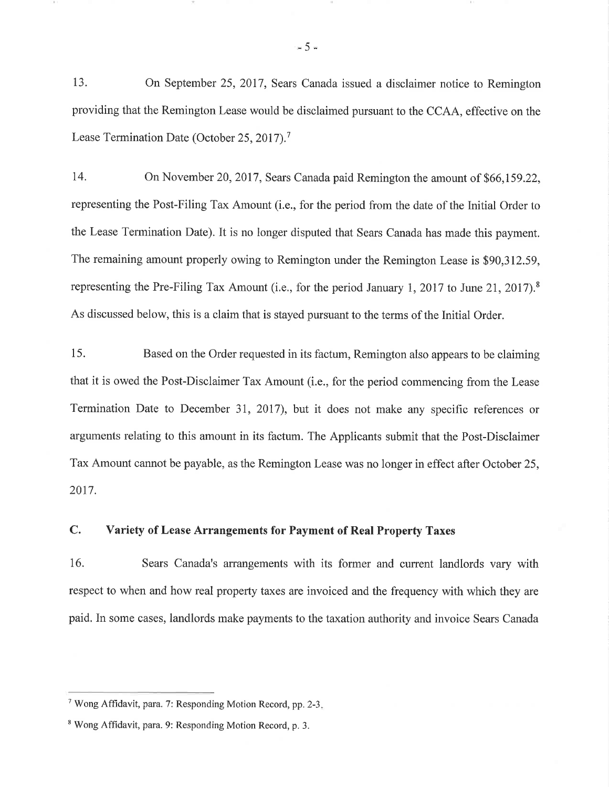13. On September 25,2017, Sears Canada issued a disclaimer notice to Remington providing that the Remington Lease would be disclaimed pursuant to the CCAA, effective on the Lease Termination Date (October 25, 2017).<sup>7</sup>

14. On November 20,2017, Sears Canada paid Remington the amount of 566,159.22, representing the Post-Filing Tax Amount (i.e., for the period from the date of the Initial Order to the Lease Termination Date). It is no longer disputed that Sears Canada has made this payment. The remaining amount properly owing to Remington under the Remington Lease is \$90,312.59, representing the Pre-Filing Tax Amount (i.e., for the period January 1, 2017 to June 21, 2017).<sup>8</sup> As discussed below, this is a claim that is stayed pursuant to the terms of the Initial Order.

15. Based on the Order requested in its factum, Remington also appears to be claiming that it is owed the Post-Disclaimer Tax Amount (i.e., for the period commencing from the Lease Termination Date to December 31,2017), but it does not make any specific references or arguments relating to this amount in its factum. The Applicants submit that the Post-Disclaimer Tax Amount cannot be payable, as the Remington Lease was no longer in effect after October 25, 2017.

# C. Variety of Lease Arrangements for Payment of Real Property Taxes

16. Sears Canada's arrangements with its former and current landlords vary with respect to when and how real property taxes are invoiced and the frequency with which they are paid. In some cases, landlords make payments to the taxation authority and invoice Sears Canada

 $= 5 =$ 

<sup>&</sup>lt;sup>7</sup> Wong Affidavit, para. 7: Responding Motion Record, pp. 2-3.

<sup>&</sup>lt;sup>8</sup> Wong Affidavit, para. 9: Responding Motion Record, p. 3.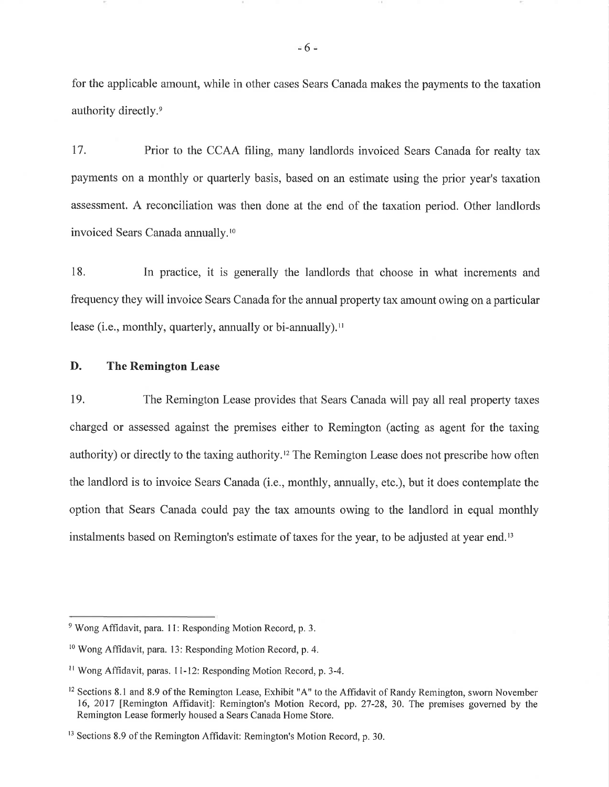for the applicable amount, while in other cases Sears Canadamakes the payments to the taxation authority directly.<sup>9</sup>

17. Prior to the CCAA filing, many landlords invoiced Sears Canada for realty tax payments on a monthly or quarterly basis, based on an estimate using the prior year's taxation assessment. A reconciliation was then done at the end of the taxation period. Other landlords invoiced Sears Canada annually.<sup>10</sup>

18. In practice, it is generally the landlords that choose in what increments and frequency they will invoice Sears Canada for the annual property tax amount owing on a particular lease (i.e., monthly, quarterly, annually or bi-annually)."

## D. The Remington Lease

19. The Remington Lease provides that Sears Canada will pay all real property taxes charged or assessed against the premises either to Remington (acting as agent for the taxing authority) or directly to the taxing authority.12 The Remington Lease does not prescribe how often the landlord is to invoice Sears Canada (i.e., monthly, annually, etc.), but it does contemplate the option that Sears Canada could pay the tax amounts owing to the landlord in equal monthly instalments based on Remington's estimate of taxes for the year, to be adjusted at year end.<sup>13</sup>

 $= 6 =$ 

 $9$  Wong Affidavit, para. 11: Responding Motion Record, p. 3.

<sup>&</sup>lt;sup>10</sup> Wong Affidavit, para. 13: Responding Motion Record, p. 4.

 $11$  Wong Affidavit, paras. 11-12: Responding Motion Record, p. 3-4.

<sup>&</sup>lt;sup>12</sup> Sections 8.1 and 8.9 of the Remington Lease, Exhibit "A" to the Affidavit of Randy Remington, sworn November 16, 2017 [Remington Affidavit]: Remington's Motion Record, pp. 27-28, 30. The premises governed by the Remington Lease formerly housed a Sears Canada Home Store.

<sup>&</sup>lt;sup>13</sup> Sections 8.9 of the Remington Affidavit: Remington's Motion Record, p. 30.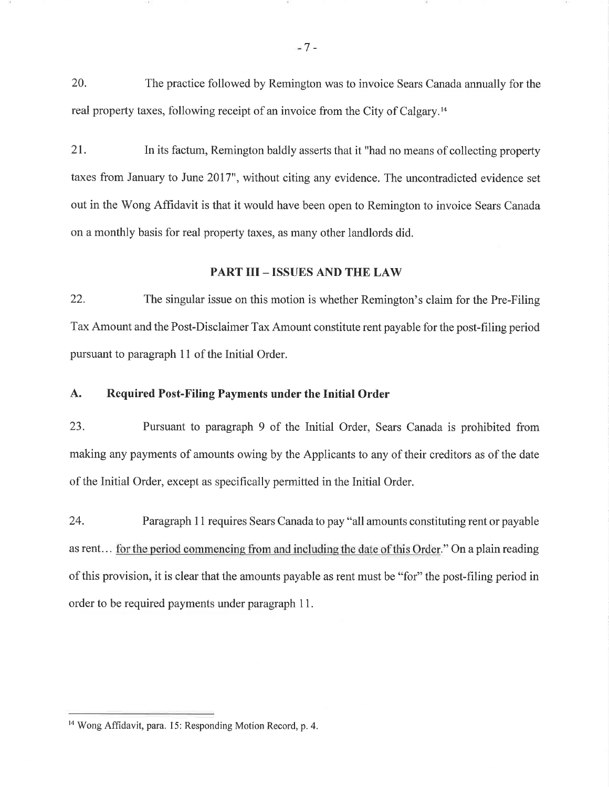20. The practice followed by Remington was to invoice Sears Canada annually for the real property taxes, following receipt of an invoice from the City of Calgary.<sup>14</sup>

21. In its factum, Remington baldly asserts that it "had no means of collecting property taxes from January to June 2017", without citing any evidence. The uncontradicted evidence set out in the Wong Affidavit is that it would have been open to Remington to invoice Sears Canada on a monthly basis for real property taxes, as many other landlords did.

## PART III - ISSUES AND THE LAW

22. The singular issue on this motion is whether Remington's claim for the Pre-Filing Tax Amount and the Post-Disclaimer Tax Amount constitute rent payable for the post-filing period pursuant to paragraph 11 of the Initial Order.

# A. Required Post-Filing Payments under the Initial Order

23. Pursuant to paragraph 9 of the Initial Order, Sears Canada is prohibited from making any payments of amounts owing by the Applicants to any of their creditors as of the date of the Initial Order, except as specifically permitted in the Initial Order.

24. Paragraph 11 requires Sears Canada to pay "all amounts constituting rent or payable as rent... for the period commencing from and including the date of this Order." On a plain reading of this provision, it is clear that the amounts payable as rent must be "for" the post-filing period in order to be required payments under paragraph 1 1.

<sup>&</sup>lt;sup>14</sup> Wong Affidavit, para. 15: Responding Motion Record, p. 4.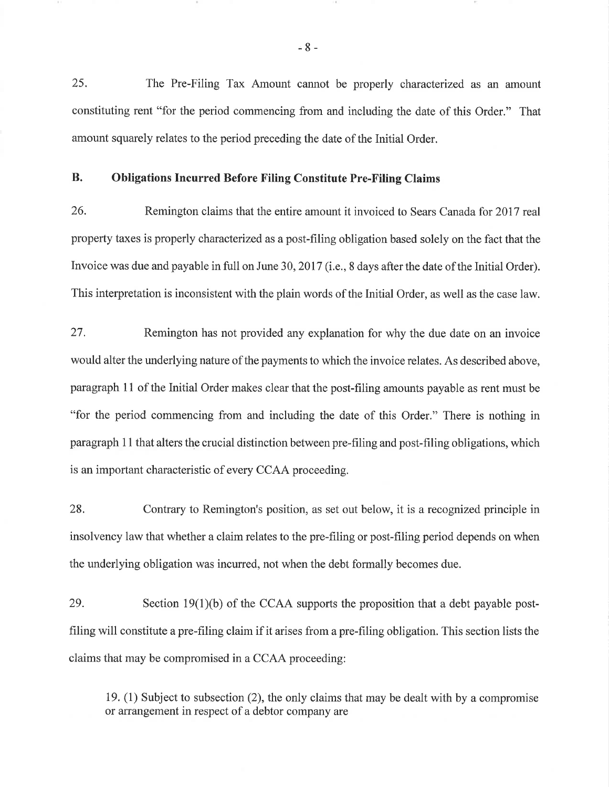25. The Pre-Filing Tax Amount cannot be properly characterized as an amount constituting rent "for the period commencing from and including the date of this Order." That amount squarely relates to the period preceding the date of the Initial Order.

# B. Obligations Incurred Before Filing Constitute Pre-Filing Claims

26. Remington claims that the entire amount it invoiced to Sears Canada for 2017 real property taxes is properly charucterized as a post-frling obligation based solely on the fact that the Invoice was due and payable in full on June 30,2017 (i.e., 8 days after the date of the Initial Order). This interpretation is inconsistent with the plain words of the Initial Order, as well as the case law.

27. Remington has not provided any explanation for why the due date on an invoice would alter the underlying nature of the payments to which the invoice relates. As described above, paragraph 11 of the Initial Order makes clear that the post-filing amounts payable as rent must be "for the period commencing from and including the date of this Order." There is nothing in paragraph 1 I that alters the crucial distinction between pre-filing and post-filing obligations, which is an important characteristic of every CCAA proceeding.

28. Contrary to Remington's position, as set out below, it is a recognized principle in insolvency law that whether a claim relates to the pre-filing or post-filing period depends on when the underlying obligation was incurred, not when the debt formally becomes due.

29. Section  $19(1)(b)$  of the CCAA supports the proposition that a debt payable postfiling will constitute a pre-filing claim if it arises from a pre-filing obligation. This section lists the claims that may be compromised in a CCAA proceeding:

19. (1) Subject to subsection (2), the only claims that may be dealt with by a compromise or arrangement in respect of a debtor company are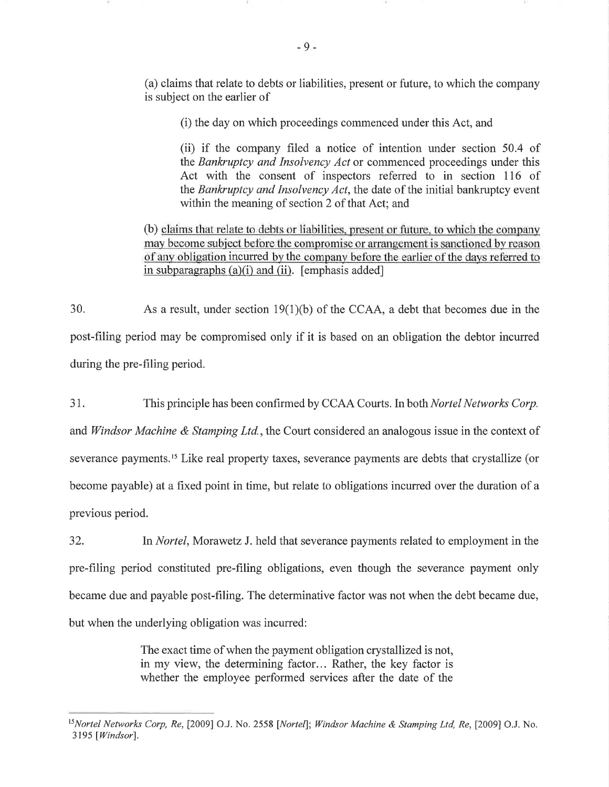(a) claims that relate to debts or liabilities, present or future, to which the company is subject on the earlier of

(i) the day on which proceedings commenced under this Act, and

(ii) if the company filed a notice of intention under section 50.4 of the Bankruptcy and Insolvency Act or commenced proceedings under this Act with the consent of inspectors referred to in section 116 of the Bankruptcy and Insolvency Act, the date of the initial bankruptcy event within the meaning of section 2 of that Act; and

(b) claims that relate to debts or liabilities, present or future, to which the company may become subject before the compromise or arrangement is sanctioned by reason of any obligation incurred by the company before the earlier of the days referred to in subparagraphs  $(a)(i)$  and  $(ii)$ . [emphasis added]

30. As a result, under section  $19(1)(b)$  of the CCAA, a debt that becomes due in the post-filing period may be compromised only if it is based on an obligation the debtor incurred during the pre-filing period.

<sup>3</sup>1. This principle has been confirmed by CCAA Courts. In both Nortel Networks Corp. and *Windsor Machine & Stamping Ltd.*, the Court considered an analogous issue in the context of severance payments.<sup>15</sup> Like real property taxes, severance payments are debts that crystallize (or become payable) at a fixed point in time, but relate to obligations incurred over the duration of a previous period.

32. In Nortel, Morawetz J. held that severance payments related to employment in the pre-filing period constituted pre-filing obligations, even though the severance payment only became due and payable post-filing. The determinative factor was not when the debt became due, but when the underlying obligation was incurred:

> The exact time of when the payment obligation crystallized is not, in my view, the determining factor... Rather, the key factor is whether the employee performed services after the date of the

<sup>&</sup>lt;sup>15</sup>Nortel Networks Corp, Re, [2009] O.J. No. 2558 [Nortel]; Windsor Machine & Stamping Ltd, Re, [2009] O.J. No. 3195 [Windsor].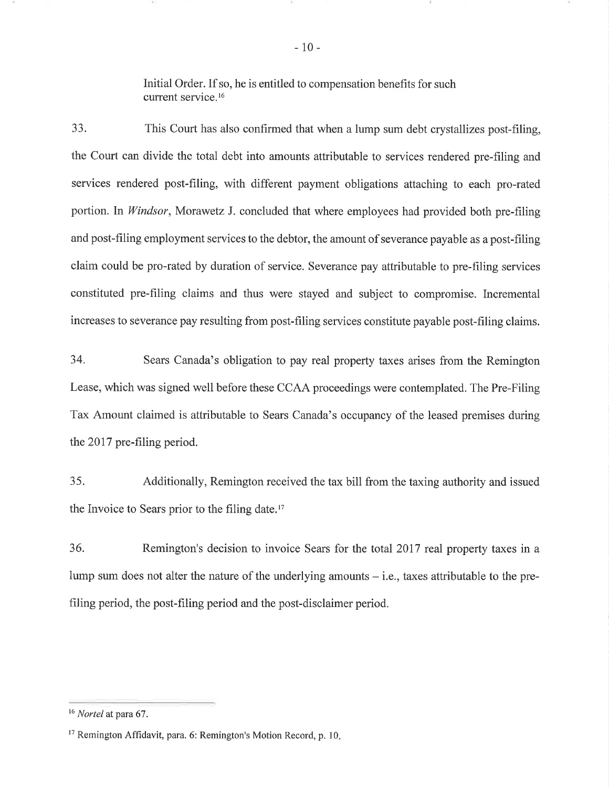Initial Order. If so, he is entitled to compensation benefits for such current service.<sup>16</sup>

33. This Court has also confirmed that when a lump sum debt crystallizes post-filing, the Court can divide the total debt into amounts attributable to services rendered pre-filing and services rendered post-filing, with different payment obligations attaching to each pro-rated portion. In *Windsor*, Morawetz J. concluded that where employees had provided both pre-filing and post-filing employment services to the debtor, the amount of severance payable as a post-filing claim could be pro-rated by duration of service. Severance pay attributable to pre-filing services constituted pre-filing claims and thus were stayed and subject to compromise. Incremental increases to severance pay resulting from post-filing services constitute payable post-filing claims.

34. Sears Canada's obligation to pay real property taxes arises from the Remington Lease, which was signed well before these CCAA proceedings were contemplated. The Pre-Filing Tax Amount claimed is attributable to Sears Canada's occupancy of the leased premises during the 2017 pre-filing period.

35. Additionally, Remington received the tax bill from the taxing authority and issued the Invoice to Sears prior to the filing date. $17$ 

36. Remington's decision to invoice Sears for the total 2017 real property taxes in <sup>a</sup> lump sum does not alter the nature of the underlying amounts  $-$  i.e., taxes attributable to the prefiling period, the post-filing period and the post-disclaimer period.

 $16$  Nortel at para 67.

<sup>&</sup>lt;sup>17</sup> Remington Affidavit, para. 6: Remington's Motion Record, p. 10.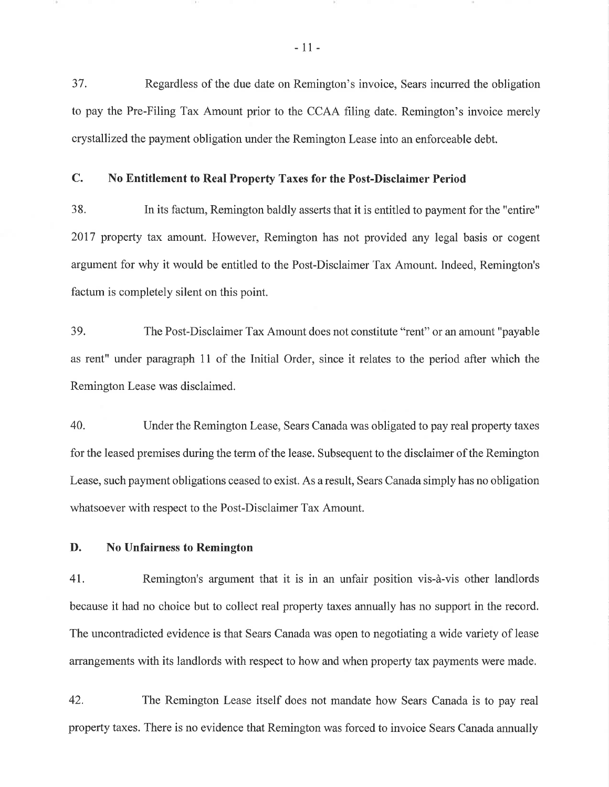37. Regardless of the due date on Remington's invoice, Sears incurred the obligation to pay the Pre-Filing Tax Amount prior to the CCAA filing date. Remington's invoice merely crystallized the payment obligation under the Remington Lease into an enforceable debt.

# C. No Entitlement to Real Property Taxes for the Post-Disclaimer Period

38. In its factum, Remington baldly asserts that it is entitled to payment for the "entire" 2017 property tax amount. However, Remington has not provided any legal basis or cogent argument for why it would be entitled to the Post-Disclaimer Tax Amount. Indeed, Remington's factum is completely silent on this point.

39. The Post-Disclaimer Tax Amount does not constitute "tent" or an amount "payable as rent" under paragraph 11 of the Initial Order, since it relates to the period after which the Remington Lease was disclaimed.

40. Under the Remington Lease, Sears Canada was obligated to pay real property taxes for the leased premises during the term of the lease. Subsequent to the disclaimer of the Remington Lease, such payment obligations ceased to exist. As a result, Sears Canada simply has no obligation whatsoever with respect to the Post-Disclaimer Tax Amount.

D. No Unfairness to Remington

41. Remington's argument that it is in an unfair position vis-à-vis other landlords because it had no choice but to collect real property taxes annually has no support in the record. The uncontradicted evidence is that Sears Canada was open to negotiating a wide variety of lease arrangements with its landlords with respect to how and when property tax payments were made.

42. The Remington Lease itself does not mandate how Sears Canada is to pay real property taxes. There is no evidence that Remington was forced to invoice Sears Canada annually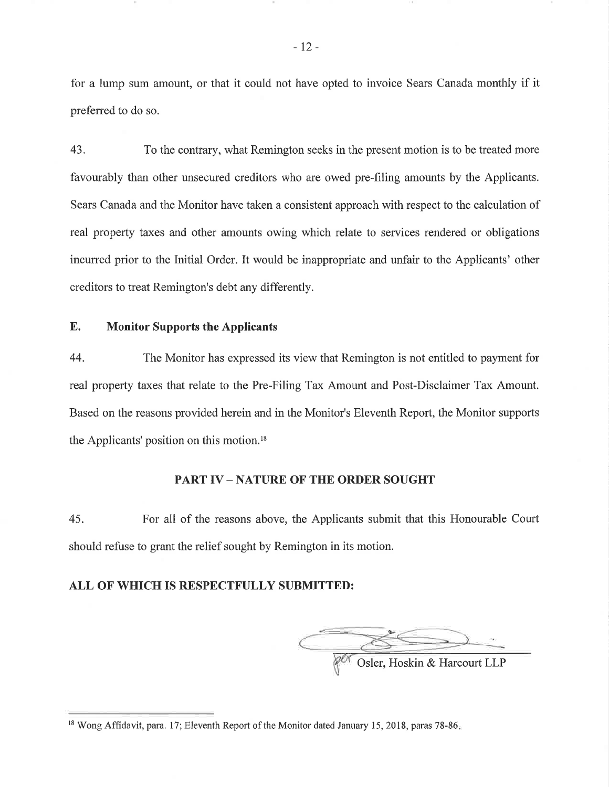for a lump sum amount, or that it could not have opted to invoice Sears Canada monthly if it preferred to do so.

43. To the contrary, what Remington seeks in the present motion is to be treated more favourably than other unsecured creditors who are owed pre-filing amounts by the Applicants. Sears Canada and the Monitor have taken a consistent approach with respect to the calculation of real property taxes and other amounts owing which relate to services rendered or obligations incurred prior to the Initial Order. It would be inappropriate and unfair to the Applicants' other creditors to treat Remington's debt any differently.

## E. Monitor Supports the Applicants

44. The Monitor has expressed its view that Remington is not entitled to payment for real property taxes that relate to the Pre-Filing Tax Amount and Post-Disclaimer Tax Amount. Based on the reasons provided herein and in the Monitor's Eleventh Report, the Monitor supports the Applicants' position on this motion.<sup>18</sup>

#### PART IV – NATURE OF THE ORDER SOUGHT

45. For all of the reasons above, the Applicants submit that this Honourable Court should refuse to grant the relief sought by Remington in its motion.

## ALL OF WHICH IS RESPECTFULLY SUBMITTED:

**OSler, Hoskin & Harcourt LLP** 

<sup>&</sup>lt;sup>18</sup> Wong Affidavit, para. 17; Eleventh Report of the Monitor dated January 15, 2018, paras 78-86.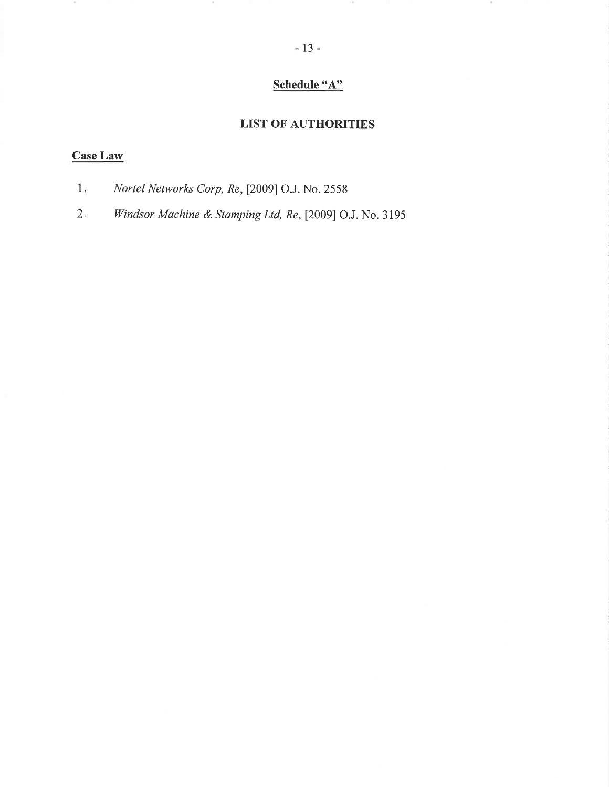# Schedule "A"

# LIST OF AUTHORITIES

# Case Law

 $\sim$ 

Nortel Networks Corp, Re, [2009] O.J. No. 2558  $1_{\pm}$ 

 $\sim$ 

Windsor Machine & Stamping Ltd, Re, [2009] O.J. No. 3195  $2.3$ 

 $\sim$ 

 $\sim$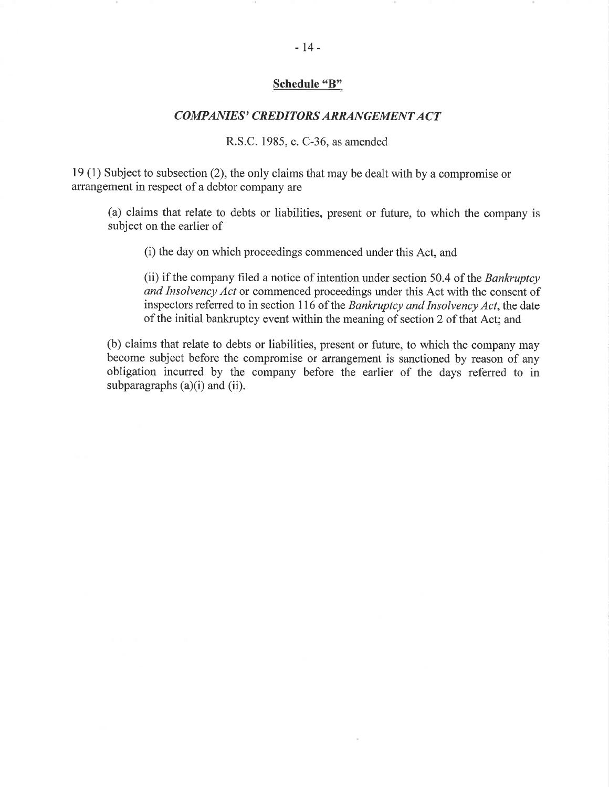## Schedule "B"

### COMPANIES' CREDITORS ARRANGEMENT ACT

#### R.S.C. 1985, c. C-36, as amended

l9 (1) Subject to subsection (2), the only claims that may be dealt with by a compromise or arrangement in respect of a debtor company are

(a) claims that relate to debts or liabilities, present or future, to which the company is subject on the earlier of

(i) the day on which proceedings commenced under this Act, and

(ii) if the company filed a notice of intention under section 50.4 of the Bankruptcy and Insolvency Act or commenced proceedings under this Act with the consent of inspectors referred to in section 116 of the Bankruptcy and Insolvency Act, the date of the initial bankruptcy event within the meaning of section 2 of that Act; and

(b) claims that relate to debts or liabilities, present or future, to which the company may become subject before the compromise or arrangement is sanctioned by reason of any obligation incurred by the company before the earlier of the days referred to in subparagraphs (a)(i) and (ii).